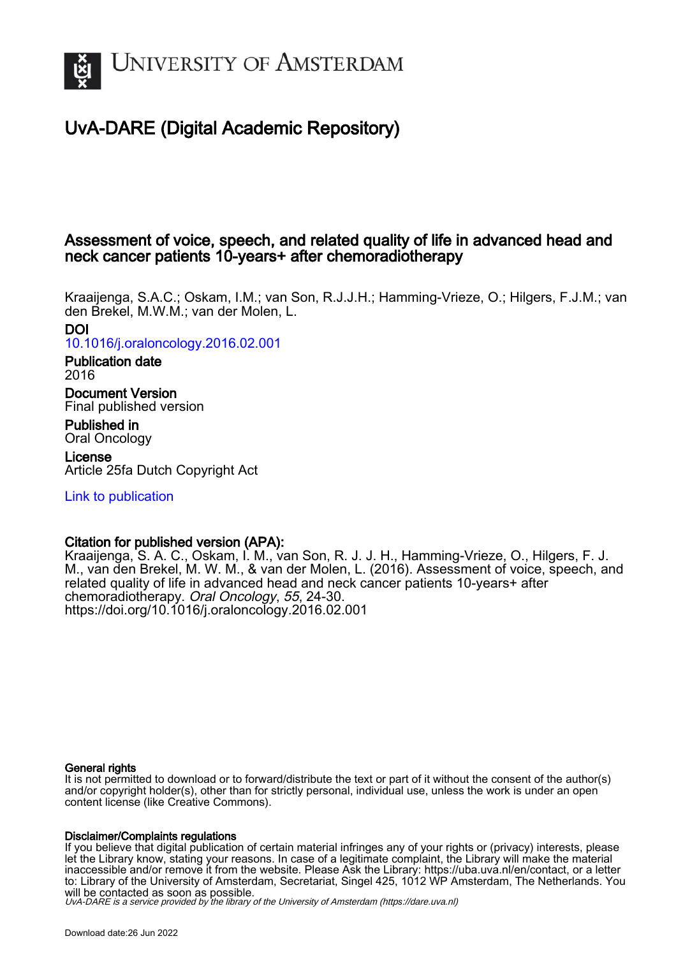

# UvA-DARE (Digital Academic Repository)

# Assessment of voice, speech, and related quality of life in advanced head and neck cancer patients 10-years+ after chemoradiotherapy

Kraaijenga, S.A.C.; Oskam, I.M.; van Son, R.J.J.H.; Hamming-Vrieze, O.; Hilgers, F.J.M.; van den Brekel, M.W.M.; van der Molen, L.

DOI [10.1016/j.oraloncology.2016.02.001](https://doi.org/10.1016/j.oraloncology.2016.02.001)

Publication date 2016

Document Version Final published version

Published in Oral Oncology

License Article 25fa Dutch Copyright Act

[Link to publication](https://dare.uva.nl/personal/pure/en/publications/assessment-of-voice-speech-and-related-quality-of-life-in-advanced-head-and-neck-cancer-patients-10years-after-chemoradiotherapy(e418af89-ca00-4c5b-8050-b2c58936408c).html)

# Citation for published version (APA):

Kraaijenga, S. A. C., Oskam, I. M., van Son, R. J. J. H., Hamming-Vrieze, O., Hilgers, F. J. M., van den Brekel, M. W. M., & van der Molen, L. (2016). Assessment of voice, speech, and related quality of life in advanced head and neck cancer patients 10-years+ after chemoradiotherapy. Oral Oncology, 55, 24-30. <https://doi.org/10.1016/j.oraloncology.2016.02.001>

# General rights

It is not permitted to download or to forward/distribute the text or part of it without the consent of the author(s) and/or copyright holder(s), other than for strictly personal, individual use, unless the work is under an open content license (like Creative Commons).

# Disclaimer/Complaints regulations

If you believe that digital publication of certain material infringes any of your rights or (privacy) interests, please let the Library know, stating your reasons. In case of a legitimate complaint, the Library will make the material inaccessible and/or remove it from the website. Please Ask the Library: https://uba.uva.nl/en/contact, or a letter to: Library of the University of Amsterdam, Secretariat, Singel 425, 1012 WP Amsterdam, The Netherlands. You will be contacted as soon as possible.

UvA-DARE is a service provided by the library of the University of Amsterdam (http*s*://dare.uva.nl)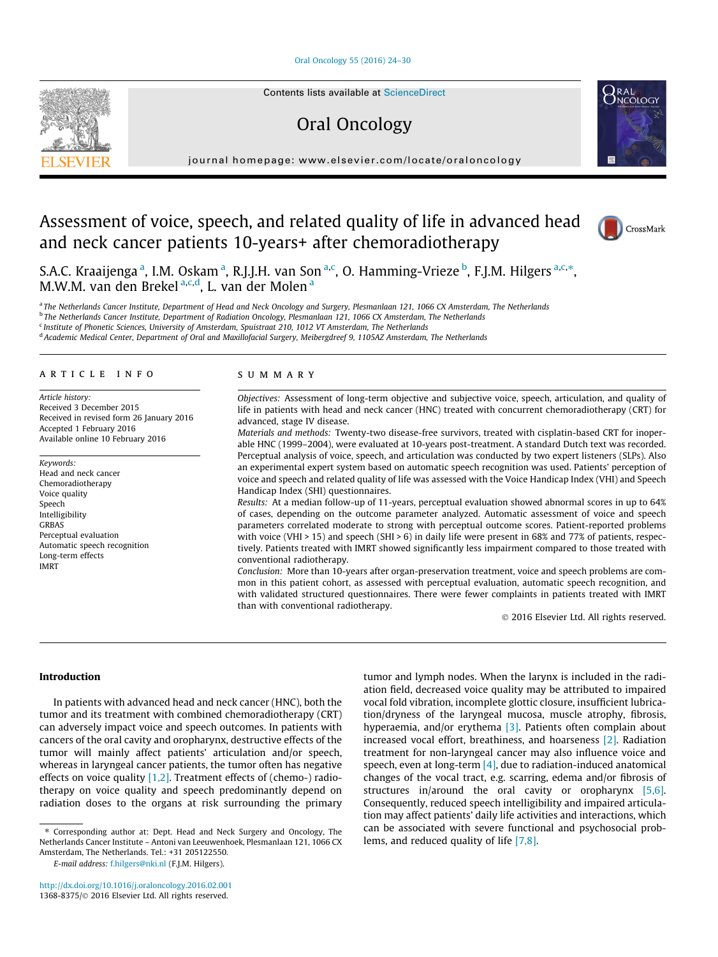#### [Oral Oncology 55 \(2016\) 24–30](http://dx.doi.org/10.1016/j.oraloncology.2016.02.001)

# Oral Oncology

journal homepage: [www.elsevier.com/locate/oraloncology](http://www.elsevier.com/locate/oraloncology)

# Assessment of voice, speech, and related quality of life in advanced head and neck cancer patients 10-years+ after chemoradiotherapy



NCOLOGY

S.A.C. Kraaijenga <sup>a</sup>, I.M. Oskam <sup>a</sup>, R.J.J.H. van Son <sup>a,c</sup>, O. Hamming-Vrieze <sup>b</sup>, F.J.M. Hilgers <sup>a,c,</sup>\*, M.W.M. van den Brekel <sup>a,c,d</sup>, L. van der Molen <sup>a</sup>

<sup>a</sup> The Netherlands Cancer Institute, Department of Head and Neck Oncology and Surgery, Plesmanlaan 121, 1066 CX Amsterdam, The Netherlands

<sup>b</sup> The Netherlands Cancer Institute, Department of Radiation Oncology, Plesmanlaan 121, 1066 CX Amsterdam, The Netherlands

<sup>c</sup> Institute of Phonetic Sciences, University of Amsterdam, Spuistraat 210, 1012 VT Amsterdam, The Netherlands

<sup>d</sup> Academic Medical Center, Department of Oral and Maxillofacial Surgery, Meibergdreef 9, 1105AZ Amsterdam, The Netherlands

### article info

Article history: Received 3 December 2015 Received in revised form 26 January 2016 Accepted 1 February 2016 Available online 10 February 2016

Keywords: Head and neck cancer Chemoradiotherapy Voice quality Speech Intelligibility GRBAS Perceptual evaluation Automatic speech recognition Long-term effects IMRT

### SUMMARY

Objectives: Assessment of long-term objective and subjective voice, speech, articulation, and quality of life in patients with head and neck cancer (HNC) treated with concurrent chemoradiotherapy (CRT) for advanced, stage IV disease.

Materials and methods: Twenty-two disease-free survivors, treated with cisplatin-based CRT for inoperable HNC (1999–2004), were evaluated at 10-years post-treatment. A standard Dutch text was recorded. Perceptual analysis of voice, speech, and articulation was conducted by two expert listeners (SLPs). Also an experimental expert system based on automatic speech recognition was used. Patients' perception of voice and speech and related quality of life was assessed with the Voice Handicap Index (VHI) and Speech Handicap Index (SHI) questionnaires.

Results: At a median follow-up of 11-years, perceptual evaluation showed abnormal scores in up to 64% of cases, depending on the outcome parameter analyzed. Automatic assessment of voice and speech parameters correlated moderate to strong with perceptual outcome scores. Patient-reported problems with voice (VHI > 15) and speech (SHI > 6) in daily life were present in 68% and 77% of patients, respectively. Patients treated with IMRT showed significantly less impairment compared to those treated with conventional radiotherapy.

Conclusion: More than 10-years after organ-preservation treatment, voice and speech problems are common in this patient cohort, as assessed with perceptual evaluation, automatic speech recognition, and with validated structured questionnaires. There were fewer complaints in patients treated with IMRT than with conventional radiotherapy.

2016 Elsevier Ltd. All rights reserved.

## Introduction

In patients with advanced head and neck cancer (HNC), both the tumor and its treatment with combined chemoradiotherapy (CRT) can adversely impact voice and speech outcomes. In patients with cancers of the oral cavity and oropharynx, destructive effects of the tumor will mainly affect patients' articulation and/or speech, whereas in laryngeal cancer patients, the tumor often has negative effects on voice quality [\[1,2\]](#page-6-0). Treatment effects of (chemo-) radiotherapy on voice quality and speech predominantly depend on radiation doses to the organs at risk surrounding the primary tumor and lymph nodes. When the larynx is included in the radiation field, decreased voice quality may be attributed to impaired vocal fold vibration, incomplete glottic closure, insufficient lubrication/dryness of the laryngeal mucosa, muscle atrophy, fibrosis, hyperaemia, and/or erythema  $[3]$ . Patients often complain about increased vocal effort, breathiness, and hoarseness [\[2\].](#page-6-0) Radiation treatment for non-laryngeal cancer may also influence voice and speech, even at long-term  $[4]$ , due to radiation-induced anatomical changes of the vocal tract, e.g. scarring, edema and/or fibrosis of structures in/around the oral cavity or oropharynx [\[5,6\].](#page-6-0) Consequently, reduced speech intelligibility and impaired articulation may affect patients' daily life activities and interactions, which can be associated with severe functional and psychosocial problems, and reduced quality of life [\[7,8\].](#page-6-0)



<sup>⇑</sup> Corresponding author at: Dept. Head and Neck Surgery and Oncology, The Netherlands Cancer Institute – Antoni van Leeuwenhoek, Plesmanlaan 121, 1066 CX Amsterdam, The Netherlands. Tel.: +31 205122550.

E-mail address: [f.hilgers@nki.nl](mailto:f.hilgers@nki.nl) (F.J.M. Hilgers).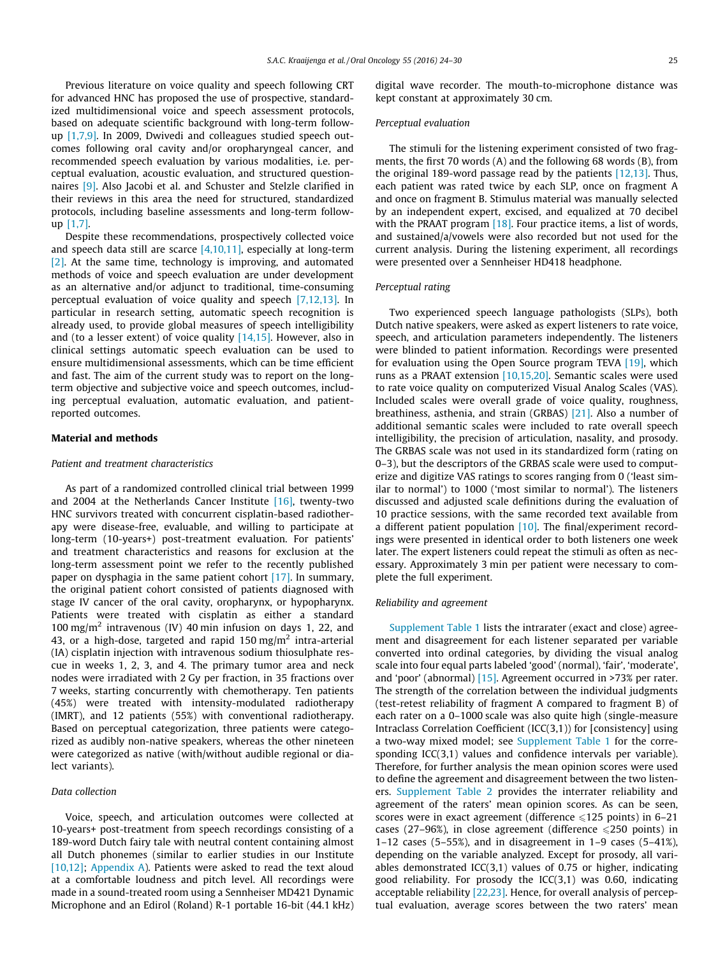Previous literature on voice quality and speech following CRT for advanced HNC has proposed the use of prospective, standardized multidimensional voice and speech assessment protocols, based on adequate scientific background with long-term followup [\[1,7,9\].](#page-6-0) In 2009, Dwivedi and colleagues studied speech outcomes following oral cavity and/or oropharyngeal cancer, and recommended speech evaluation by various modalities, i.e. perceptual evaluation, acoustic evaluation, and structured questionnaires [\[9\].](#page-6-0) Also Jacobi et al. and Schuster and Stelzle clarified in their reviews in this area the need for structured, standardized protocols, including baseline assessments and long-term followup [\[1,7\]](#page-6-0).

Despite these recommendations, prospectively collected voice and speech data still are scarce  $[4,10,11]$ , especially at long-term [\[2\]](#page-6-0). At the same time, technology is improving, and automated methods of voice and speech evaluation are under development as an alternative and/or adjunct to traditional, time-consuming perceptual evaluation of voice quality and speech [\[7,12,13\].](#page-6-0) In particular in research setting, automatic speech recognition is already used, to provide global measures of speech intelligibility and (to a lesser extent) of voice quality [\[14,15\]](#page-6-0). However, also in clinical settings automatic speech evaluation can be used to ensure multidimensional assessments, which can be time efficient and fast. The aim of the current study was to report on the longterm objective and subjective voice and speech outcomes, including perceptual evaluation, automatic evaluation, and patientreported outcomes.

#### Material and methods

#### Patient and treatment characteristics

As part of a randomized controlled clinical trial between 1999 and 2004 at the Netherlands Cancer Institute [\[16\],](#page-6-0) twenty-two HNC survivors treated with concurrent cisplatin-based radiotherapy were disease-free, evaluable, and willing to participate at long-term (10-years+) post-treatment evaluation. For patients' and treatment characteristics and reasons for exclusion at the long-term assessment point we refer to the recently published paper on dysphagia in the same patient cohort [\[17\].](#page-6-0) In summary, the original patient cohort consisted of patients diagnosed with stage IV cancer of the oral cavity, oropharynx, or hypopharynx. Patients were treated with cisplatin as either a standard 100 mg/m<sup>2</sup> intravenous (IV) 40 min infusion on days 1, 22, and 43, or a high-dose, targeted and rapid  $150 \text{ mg/m}^2$  intra-arterial (IA) cisplatin injection with intravenous sodium thiosulphate rescue in weeks 1, 2, 3, and 4. The primary tumor area and neck nodes were irradiated with 2 Gy per fraction, in 35 fractions over 7 weeks, starting concurrently with chemotherapy. Ten patients (45%) were treated with intensity-modulated radiotherapy (IMRT), and 12 patients (55%) with conventional radiotherapy. Based on perceptual categorization, three patients were categorized as audibly non-native speakers, whereas the other nineteen were categorized as native (with/without audible regional or dialect variants).

#### Data collection

Voice, speech, and articulation outcomes were collected at 10-years+ post-treatment from speech recordings consisting of a 189-word Dutch fairy tale with neutral content containing almost all Dutch phonemes (similar to earlier studies in our Institute [\[10,12\]](#page-6-0); [Appendix A](#page-6-0)). Patients were asked to read the text aloud at a comfortable loudness and pitch level. All recordings were made in a sound-treated room using a Sennheiser MD421 Dynamic Microphone and an Edirol (Roland) R-1 portable 16-bit (44.1 kHz)

digital wave recorder. The mouth-to-microphone distance was kept constant at approximately 30 cm.

#### Perceptual evaluation

The stimuli for the listening experiment consisted of two fragments, the first 70 words (A) and the following 68 words (B), from the original 189-word passage read by the patients  $[12,13]$ . Thus, each patient was rated twice by each SLP, once on fragment A and once on fragment B. Stimulus material was manually selected by an independent expert, excised, and equalized at 70 decibel with the PRAAT program [\[18\]](#page-7-0). Four practice items, a list of words, and sustained/a/vowels were also recorded but not used for the current analysis. During the listening experiment, all recordings were presented over a Sennheiser HD418 headphone.

#### Perceptual rating

Two experienced speech language pathologists (SLPs), both Dutch native speakers, were asked as expert listeners to rate voice, speech, and articulation parameters independently. The listeners were blinded to patient information. Recordings were presented for evaluation using the Open Source program TEVA [\[19\]](#page-7-0), which runs as a PRAAT extension [\[10,15,20\]](#page-6-0). Semantic scales were used to rate voice quality on computerized Visual Analog Scales (VAS). Included scales were overall grade of voice quality, roughness, breathiness, asthenia, and strain (GRBAS) [\[21\].](#page-7-0) Also a number of additional semantic scales were included to rate overall speech intelligibility, the precision of articulation, nasality, and prosody. The GRBAS scale was not used in its standardized form (rating on 0–3), but the descriptors of the GRBAS scale were used to computerize and digitize VAS ratings to scores ranging from 0 ('least similar to normal') to 1000 ('most similar to normal'). The listeners discussed and adjusted scale definitions during the evaluation of 10 practice sessions, with the same recorded text available from a different patient population  $[10]$ . The final/experiment recordings were presented in identical order to both listeners one week later. The expert listeners could repeat the stimuli as often as necessary. Approximately 3 min per patient were necessary to complete the full experiment.

#### Reliability and agreement

Supplement Table 1 lists the intrarater (exact and close) agreement and disagreement for each listener separated per variable converted into ordinal categories, by dividing the visual analog scale into four equal parts labeled 'good' (normal), 'fair', 'moderate', and 'poor' (abnormal) [\[15\].](#page-6-0) Agreement occurred in >73% per rater. The strength of the correlation between the individual judgments (test-retest reliability of fragment A compared to fragment B) of each rater on a 0–1000 scale was also quite high (single-measure Intraclass Correlation Coefficient (ICC(3,1)) for [consistency] using a two-way mixed model; see Supplement Table 1 for the corresponding ICC(3,1) values and confidence intervals per variable). Therefore, for further analysis the mean opinion scores were used to define the agreement and disagreement between the two listeners. Supplement Table 2 provides the interrater reliability and agreement of the raters' mean opinion scores. As can be seen, scores were in exact agreement (difference  $\leq 125$  points) in 6–21 cases (27–96%), in close agreement (difference  $\leq 250$  points) in 1–12 cases (5–55%), and in disagreement in 1–9 cases (5–41%), depending on the variable analyzed. Except for prosody, all variables demonstrated ICC $(3,1)$  values of 0.75 or higher, indicating good reliability. For prosody the ICC(3,1) was 0.60, indicating acceptable reliability [\[22,23\]](#page-7-0). Hence, for overall analysis of perceptual evaluation, average scores between the two raters' mean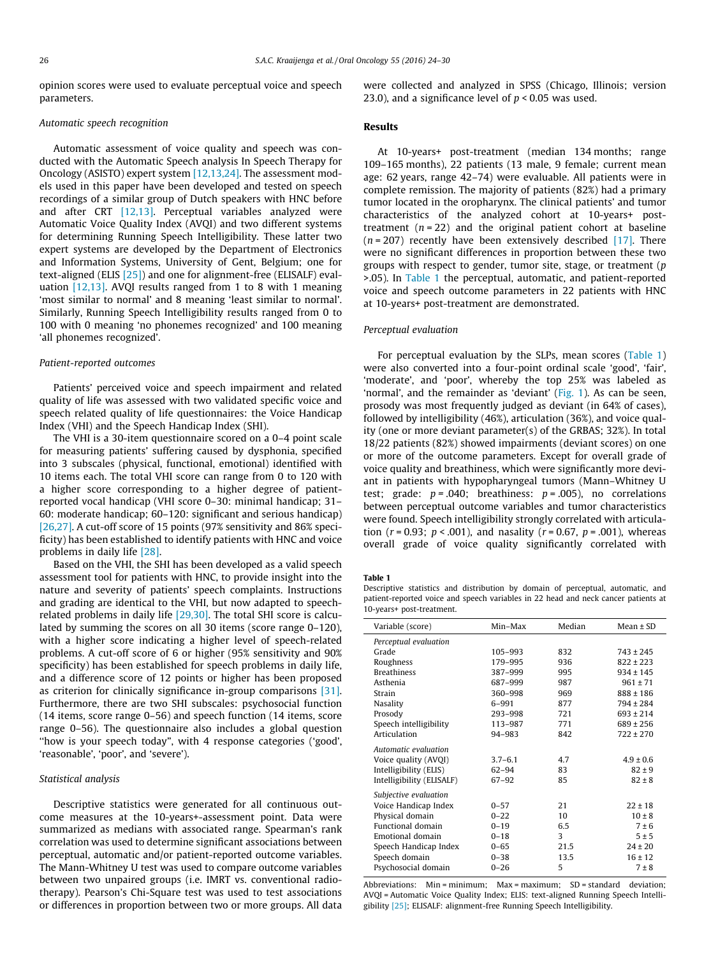<span id="page-3-0"></span>opinion scores were used to evaluate perceptual voice and speech parameters.

#### Automatic speech recognition

Automatic assessment of voice quality and speech was conducted with the Automatic Speech analysis In Speech Therapy for Oncology (ASISTO) expert system [\[12,13,24\]](#page-6-0). The assessment models used in this paper have been developed and tested on speech recordings of a similar group of Dutch speakers with HNC before and after CRT [\[12,13\]](#page-6-0). Perceptual variables analyzed were Automatic Voice Quality Index (AVQI) and two different systems for determining Running Speech Intelligibility. These latter two expert systems are developed by the Department of Electronics and Information Systems, University of Gent, Belgium; one for text-aligned (ELIS [\[25\]\)](#page-7-0) and one for alignment-free (ELISALF) evaluation [\[12,13\]](#page-6-0). AVQI results ranged from 1 to 8 with 1 meaning 'most similar to normal' and 8 meaning 'least similar to normal'. Similarly, Running Speech Intelligibility results ranged from 0 to 100 with 0 meaning 'no phonemes recognized' and 100 meaning 'all phonemes recognized'.

#### Patient-reported outcomes

Patients' perceived voice and speech impairment and related quality of life was assessed with two validated specific voice and speech related quality of life questionnaires: the Voice Handicap Index (VHI) and the Speech Handicap Index (SHI).

The VHI is a 30-item questionnaire scored on a 0–4 point scale for measuring patients' suffering caused by dysphonia, specified into 3 subscales (physical, functional, emotional) identified with 10 items each. The total VHI score can range from 0 to 120 with a higher score corresponding to a higher degree of patientreported vocal handicap (VHI score 0–30: minimal handicap; 31– 60: moderate handicap; 60–120: significant and serious handicap) [\[26,27\].](#page-7-0) A cut-off score of 15 points (97% sensitivity and 86% specificity) has been established to identify patients with HNC and voice problems in daily life [\[28\]](#page-7-0).

Based on the VHI, the SHI has been developed as a valid speech assessment tool for patients with HNC, to provide insight into the nature and severity of patients' speech complaints. Instructions and grading are identical to the VHI, but now adapted to speechrelated problems in daily life [\[29,30\].](#page-7-0) The total SHI score is calculated by summing the scores on all 30 items (score range 0–120), with a higher score indicating a higher level of speech-related problems. A cut-off score of 6 or higher (95% sensitivity and 90% specificity) has been established for speech problems in daily life, and a difference score of 12 points or higher has been proposed as criterion for clinically significance in-group comparisons [\[31\].](#page-7-0) Furthermore, there are two SHI subscales: psychosocial function (14 items, score range 0–56) and speech function (14 items, score range 0–56). The questionnaire also includes a global question ''how is your speech today", with 4 response categories ('good', 'reasonable', 'poor', and 'severe').

# Statistical analysis

Descriptive statistics were generated for all continuous outcome measures at the 10-years+-assessment point. Data were summarized as medians with associated range. Spearman's rank correlation was used to determine significant associations between perceptual, automatic and/or patient-reported outcome variables. The Mann-Whitney U test was used to compare outcome variables between two unpaired groups (i.e. IMRT vs. conventional radiotherapy). Pearson's Chi-Square test was used to test associations or differences in proportion between two or more groups. All data were collected and analyzed in SPSS (Chicago, Illinois; version 23.0), and a significance level of  $p < 0.05$  was used.

#### Results

At 10-years+ post-treatment (median 134 months; range 109–165 months), 22 patients (13 male, 9 female; current mean age: 62 years, range 42–74) were evaluable. All patients were in complete remission. The majority of patients (82%) had a primary tumor located in the oropharynx. The clinical patients' and tumor characteristics of the analyzed cohort at 10-years+ posttreatment  $(n = 22)$  and the original patient cohort at baseline  $(n = 207)$  recently have been extensively described [\[17\].](#page-6-0) There were no significant differences in proportion between these two groups with respect to gender, tumor site, stage, or treatment (p >.05). In Table 1 the perceptual, automatic, and patient-reported voice and speech outcome parameters in 22 patients with HNC at 10-years+ post-treatment are demonstrated.

### Perceptual evaluation

For perceptual evaluation by the SLPs, mean scores (Table 1) were also converted into a four-point ordinal scale 'good', 'fair', 'moderate', and 'poor', whereby the top 25% was labeled as 'normal', and the remainder as 'deviant' [\(Fig. 1](#page-4-0)). As can be seen, prosody was most frequently judged as deviant (in 64% of cases), followed by intelligibility (46%), articulation (36%), and voice quality (one or more deviant parameter(s) of the GRBAS; 32%). In total 18/22 patients (82%) showed impairments (deviant scores) on one or more of the outcome parameters. Except for overall grade of voice quality and breathiness, which were significantly more deviant in patients with hypopharyngeal tumors (Mann–Whitney U test; grade:  $p = .040$ ; breathiness:  $p = .005$ ), no correlations between perceptual outcome variables and tumor characteristics were found. Speech intelligibility strongly correlated with articulation ( $r = 0.93$ ;  $p < .001$ ), and nasality ( $r = 0.67$ ,  $p = .001$ ), whereas overall grade of voice quality significantly correlated with

Table 1

Descriptive statistics and distribution by domain of perceptual, automatic, and patient-reported voice and speech variables in 22 head and neck cancer patients at 10-years+ post-treatment.

| Variable (score)          | Min-Max     | Median | Mean $\pm$ SD |
|---------------------------|-------------|--------|---------------|
| Perceptual evaluation     |             |        |               |
| Grade                     | 105-993     | 832    | $743 \pm 245$ |
| Roughness                 | 179-995     | 936    | $822 + 223$   |
| <b>Breathiness</b>        | 387-999     | 995    | $934 \pm 145$ |
| Asthenia                  | 687-999     | 987    | $961 \pm 71$  |
| Strain                    | 360-998     | 969    | $888 \pm 186$ |
| Nasality                  | $6 - 991$   | 877    | $794 \pm 284$ |
| Prosody                   | 293-998     | 721    | $693 \pm 214$ |
| Speech intelligibility    | 113-987     | 771    | $689 \pm 256$ |
| Articulation              | 94-983      | 842    | $722 \pm 270$ |
| Automatic evaluation      |             |        |               |
| Voice quality (AVOI)      | $3.7 - 6.1$ | 4.7    | $4.9 \pm 0.6$ |
| Intelligibility (ELIS)    | $62 - 94$   | 83     | $82 + 9$      |
| Intelligibility (ELISALF) | 67-92       | 85     | $82 + 8$      |
| Subjective evaluation     |             |        |               |
| Voice Handicap Index      | $0 - 57$    | 21     | $22 \pm 18$   |
| Physical domain           | $0 - 22$    | 10     | $10 \pm 8$    |
| <b>Functional domain</b>  | $0 - 19$    | 6.5    | $7 \pm 6$     |
| Emotional domain          | $0 - 18$    | 3      | $5 + 5$       |
| Speech Handicap Index     | $0 - 65$    | 21.5   | $24 \pm 20$   |
| Speech domain             | $0 - 38$    | 13.5   | $16 \pm 12$   |
| Psychosocial domain       | $0 - 26$    | 5      | $7 \pm 8$     |

Abbreviations: Min = minimum; Max = maximum; SD = standard deviation; AVQI = Automatic Voice Quality Index; ELIS: text-aligned Running Speech Intelligibility [\[25\];](#page-7-0) ELISALF: alignment-free Running Speech Intelligibility.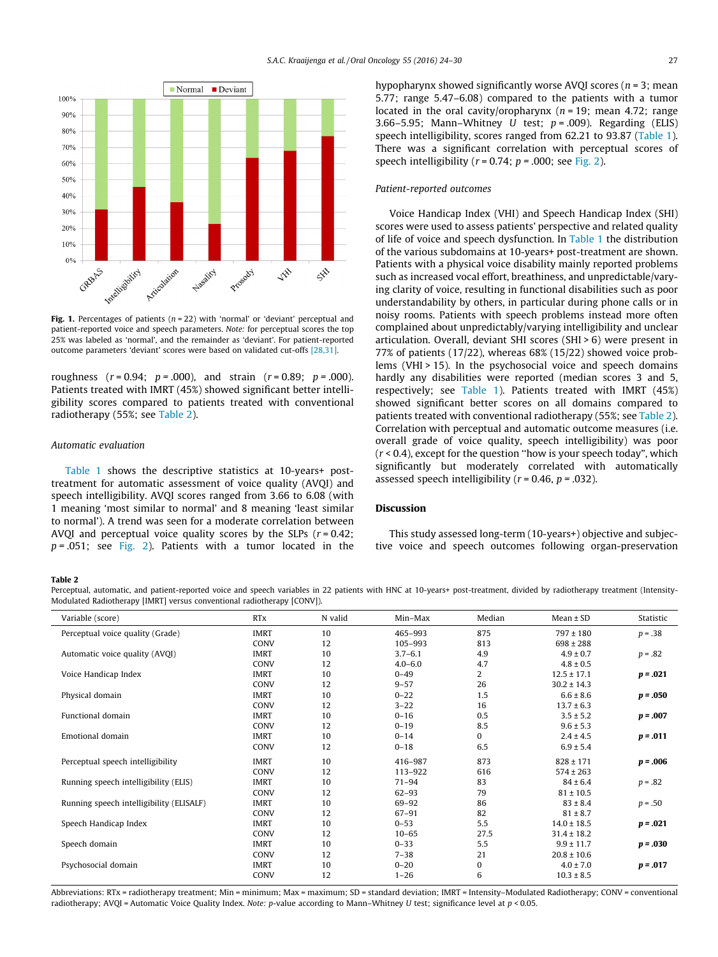<span id="page-4-0"></span>

Fig. 1. Percentages of patients ( $n = 22$ ) with 'normal' or 'deviant' perceptual and patient-reported voice and speech parameters. Note: for perceptual scores the top 25% was labeled as 'normal', and the remainder as 'deviant'. For patient-reported outcome parameters 'deviant' scores were based on validated cut-offs [\[28,31\].](#page-7-0)

roughness  $(r = 0.94; p = .000)$ , and strain  $(r = 0.89; p = .000)$ . Patients treated with IMRT (45%) showed significant better intelligibility scores compared to patients treated with conventional radiotherapy (55%; see Table 2).

#### Automatic evaluation

[Table 1](#page-3-0) shows the descriptive statistics at 10-years+ posttreatment for automatic assessment of voice quality (AVQI) and speech intelligibility. AVQI scores ranged from 3.66 to 6.08 (with 1 meaning 'most similar to normal' and 8 meaning 'least similar to normal'). A trend was seen for a moderate correlation between AVQI and perceptual voice quality scores by the SLPs  $(r = 0.42;$  $p = .051$ ; see [Fig. 2](#page-5-0)). Patients with a tumor located in the hypopharynx showed significantly worse AVOI scores ( $n = 3$ ; mean 5.77; range 5.47–6.08) compared to the patients with a tumor located in the oral cavity/oropharynx  $(n = 19)$ ; mean 4.72; range 3.66–5.95; Mann–Whitney U test;  $p = .009$ ). Regarding (ELIS) speech intelligibility, scores ranged from 62.21 to 93.87 ([Table 1\)](#page-3-0). There was a significant correlation with perceptual scores of speech intelligibility ( $r = 0.74$ ;  $p = .000$ ; see [Fig. 2\)](#page-5-0).

## Patient-reported outcomes

Voice Handicap Index (VHI) and Speech Handicap Index (SHI) scores were used to assess patients' perspective and related quality of life of voice and speech dysfunction. In [Table 1](#page-3-0) the distribution of the various subdomains at 10-years+ post-treatment are shown. Patients with a physical voice disability mainly reported problems such as increased vocal effort, breathiness, and unpredictable/varying clarity of voice, resulting in functional disabilities such as poor understandability by others, in particular during phone calls or in noisy rooms. Patients with speech problems instead more often complained about unpredictably/varying intelligibility and unclear articulation. Overall, deviant SHI scores (SHI > 6) were present in 77% of patients (17/22), whereas 68% (15/22) showed voice problems (VHI > 15). In the psychosocial voice and speech domains hardly any disabilities were reported (median scores 3 and 5, respectively; see [Table 1](#page-3-0)). Patients treated with IMRT (45%) showed significant better scores on all domains compared to patients treated with conventional radiotherapy (55%; see Table 2). Correlation with perceptual and automatic outcome measures (i.e. overall grade of voice quality, speech intelligibility) was poor  $(r < 0.4)$ , except for the question "how is your speech today", which significantly but moderately correlated with automatically assessed speech intelligibility ( $r = 0.46$ ,  $p = .032$ ).

## Discussion

This study assessed long-term (10-years+) objective and subjective voice and speech outcomes following organ-preservation

#### Table 2

Perceptual, automatic, and patient-reported voice and speech variables in 22 patients with HNC at 10-years+ post-treatment, divided by radiotherapy treatment (Intensity-Modulated Radiotherapy [IMRT] versus conventional radiotherapy [CONV]).

| Variable (score)                         | <b>RTx</b>  | N valid | Min-Max     | Median   | $Mean \pm SD$   | Statistic  |
|------------------------------------------|-------------|---------|-------------|----------|-----------------|------------|
| Perceptual voice quality (Grade)         | <b>IMRT</b> | 10      | 465-993     | 875      | $797 \pm 180$   | $p = .38$  |
|                                          | CONV        | 12      | 105-993     | 813      | $698 \pm 288$   |            |
| Automatic voice quality (AVQI)           | <b>IMRT</b> | 10      | $3.7 - 6.1$ | 4.9      | $4.9 \pm 0.7$   | $p = .82$  |
|                                          | CONV        | 12      | $4.0 - 6.0$ | 4.7      | $4.8 \pm 0.5$   |            |
| Voice Handicap Index                     | <b>IMRT</b> | 10      | $0 - 49$    | 2        | $12.5 \pm 17.1$ | $p = .021$ |
|                                          | CONV        | 12      | $9 - 57$    | 26       | $30.2 \pm 14.3$ |            |
| Physical domain                          | <b>IMRT</b> | 10      | $0 - 22$    | 1.5      | $6.6 \pm 8.6$   | $p = .050$ |
|                                          | CONV        | 12      | $3 - 22$    | 16       | $13.7 \pm 6.3$  |            |
| Functional domain                        | <b>IMRT</b> | 10      | $0 - 16$    | 0.5      | $3.5 \pm 5.2$   | $p = .007$ |
|                                          | CONV        | 12      | $0 - 19$    | 8.5      | $9.6 \pm 5.3$   |            |
| Emotional domain                         | <b>IMRT</b> | 10      | $0 - 14$    | $\Omega$ | $2.4 \pm 4.5$   | $p = .011$ |
|                                          | CONV        | 12      | $0 - 18$    | 6.5      | $6.9 \pm 5.4$   |            |
| Perceptual speech intelligibility        | <b>IMRT</b> | 10      | 416-987     | 873      | $828 \pm 171$   | $p = .006$ |
|                                          | CONV        | 12      | 113-922     | 616      | $574 \pm 263$   |            |
| Running speech intelligibility (ELIS)    | <b>IMRT</b> | 10      | $71 - 94$   | 83       | $84 \pm 6.4$    | $p = .82$  |
|                                          | CONV        | 12      | $62 - 93$   | 79       | $81 \pm 10.5$   |            |
| Running speech intelligibility (ELISALF) | <b>IMRT</b> | 10      | 69-92       | 86       | $83 \pm 8.4$    | $p = .50$  |
|                                          | CONV        | 12      | $67 - 91$   | 82       | $81 \pm 8.7$    |            |
| Speech Handicap Index                    | <b>IMRT</b> | 10      | $0 - 53$    | 5.5      | $14.0 \pm 18.5$ | $p = .021$ |
|                                          | CONV        | 12      | $10 - 65$   | 27.5     | $31.4 \pm 18.2$ |            |
| Speech domain                            | <b>IMRT</b> | 10      | $0 - 33$    | 5.5      | $9.9 \pm 11.7$  | $p = .030$ |
|                                          | CONV        | 12      | $7 - 38$    | 21       | $20.8 \pm 10.6$ |            |
| Psychosocial domain                      | <b>IMRT</b> | 10      | $0 - 20$    | 0        | $4.0 \pm 7.0$   | $p = .017$ |
|                                          | <b>CONV</b> | 12      | $1 - 26$    | 6        | $10.3 \pm 8.5$  |            |
|                                          |             |         |             |          |                 |            |

Abbreviations: RTx = radiotherapy treatment; Min = minimum; Max = maximum; SD = standard deviation; IMRT = Intensity–Modulated Radiotherapy; CONV = conventional radiotherapy; AVQI = Automatic Voice Quality Index. Note: p-value according to Mann–Whitney U test; significance level at  $p < 0.05$ .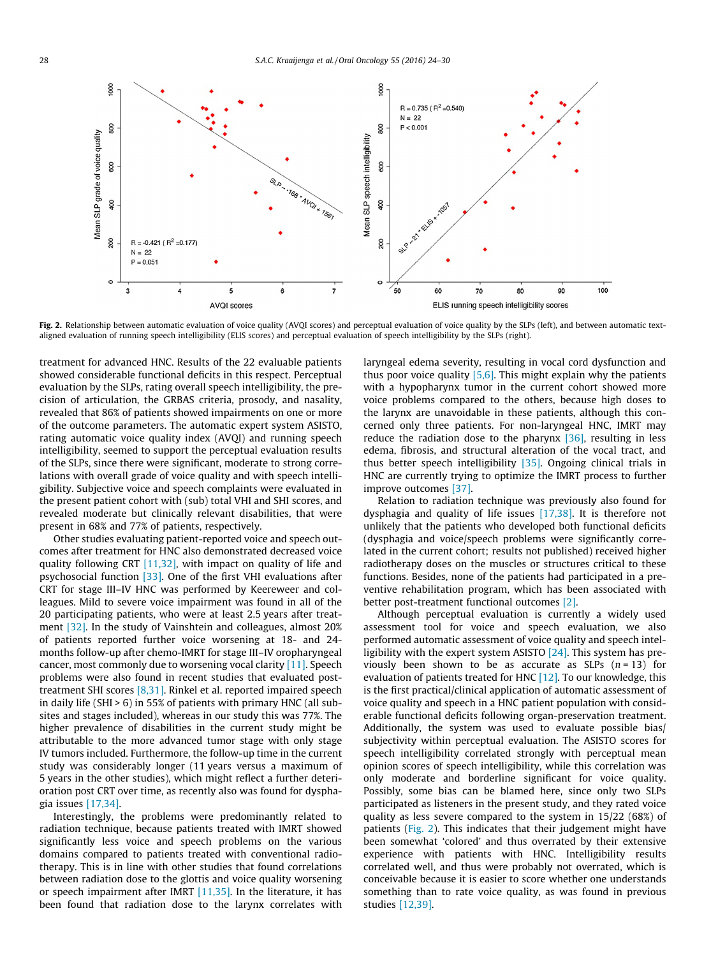<span id="page-5-0"></span>

Fig. 2. Relationship between automatic evaluation of voice quality (AVQI scores) and perceptual evaluation of voice quality by the SLPs (left), and between automatic textaligned evaluation of running speech intelligibility (ELIS scores) and perceptual evaluation of speech intelligibility by the SLPs (right).

treatment for advanced HNC. Results of the 22 evaluable patients showed considerable functional deficits in this respect. Perceptual evaluation by the SLPs, rating overall speech intelligibility, the precision of articulation, the GRBAS criteria, prosody, and nasality, revealed that 86% of patients showed impairments on one or more of the outcome parameters. The automatic expert system ASISTO, rating automatic voice quality index (AVQI) and running speech intelligibility, seemed to support the perceptual evaluation results of the SLPs, since there were significant, moderate to strong correlations with overall grade of voice quality and with speech intelligibility. Subjective voice and speech complaints were evaluated in the present patient cohort with (sub) total VHI and SHI scores, and revealed moderate but clinically relevant disabilities, that were present in 68% and 77% of patients, respectively.

Other studies evaluating patient-reported voice and speech outcomes after treatment for HNC also demonstrated decreased voice quality following CRT [\[11,32\]](#page-6-0), with impact on quality of life and psychosocial function [\[33\]](#page-7-0). One of the first VHI evaluations after CRT for stage III–IV HNC was performed by Keereweer and colleagues. Mild to severe voice impairment was found in all of the 20 participating patients, who were at least 2.5 years after treatment [\[32\]](#page-7-0). In the study of Vainshtein and colleagues, almost 20% of patients reported further voice worsening at 18- and 24 months follow-up after chemo-IMRT for stage III–IV oropharyngeal cancer, most commonly due to worsening vocal clarity [\[11\]](#page-6-0). Speech problems were also found in recent studies that evaluated posttreatment SHI scores [\[8,31\].](#page-6-0) Rinkel et al. reported impaired speech in daily life (SHI  $>$  6) in 55% of patients with primary HNC (all subsites and stages included), whereas in our study this was 77%. The higher prevalence of disabilities in the current study might be attributable to the more advanced tumor stage with only stage IV tumors included. Furthermore, the follow-up time in the current study was considerably longer (11 years versus a maximum of 5 years in the other studies), which might reflect a further deterioration post CRT over time, as recently also was found for dysphagia issues [\[17,34\].](#page-6-0)

Interestingly, the problems were predominantly related to radiation technique, because patients treated with IMRT showed significantly less voice and speech problems on the various domains compared to patients treated with conventional radiotherapy. This is in line with other studies that found correlations between radiation dose to the glottis and voice quality worsening or speech impairment after IMRT  $[11,35]$ . In the literature, it has been found that radiation dose to the larynx correlates with laryngeal edema severity, resulting in vocal cord dysfunction and thus poor voice quality [\[5,6\].](#page-6-0) This might explain why the patients with a hypopharynx tumor in the current cohort showed more voice problems compared to the others, because high doses to the larynx are unavoidable in these patients, although this concerned only three patients. For non-laryngeal HNC, IMRT may reduce the radiation dose to the pharynx  $[36]$ , resulting in less edema, fibrosis, and structural alteration of the vocal tract, and thus better speech intelligibility [\[35\]](#page-7-0). Ongoing clinical trials in HNC are currently trying to optimize the IMRT process to further improve outcomes [\[37\].](#page-7-0)

Relation to radiation technique was previously also found for dysphagia and quality of life issues [\[17,38\].](#page-6-0) It is therefore not unlikely that the patients who developed both functional deficits (dysphagia and voice/speech problems were significantly correlated in the current cohort; results not published) received higher radiotherapy doses on the muscles or structures critical to these functions. Besides, none of the patients had participated in a preventive rehabilitation program, which has been associated with better post-treatment functional outcomes [\[2\].](#page-6-0)

Although perceptual evaluation is currently a widely used assessment tool for voice and speech evaluation, we also performed automatic assessment of voice quality and speech intelligibility with the expert system ASISTO [\[24\]](#page-7-0). This system has previously been shown to be as accurate as SLPs  $(n = 13)$  for evaluation of patients treated for HNC  $[12]$ . To our knowledge, this is the first practical/clinical application of automatic assessment of voice quality and speech in a HNC patient population with considerable functional deficits following organ-preservation treatment. Additionally, the system was used to evaluate possible bias/ subjectivity within perceptual evaluation. The ASISTO scores for speech intelligibility correlated strongly with perceptual mean opinion scores of speech intelligibility, while this correlation was only moderate and borderline significant for voice quality. Possibly, some bias can be blamed here, since only two SLPs participated as listeners in the present study, and they rated voice quality as less severe compared to the system in 15/22 (68%) of patients (Fig. 2). This indicates that their judgement might have been somewhat 'colored' and thus overrated by their extensive experience with patients with HNC. Intelligibility results correlated well, and thus were probably not overrated, which is conceivable because it is easier to score whether one understands something than to rate voice quality, as was found in previous studies [\[12,39\]](#page-6-0).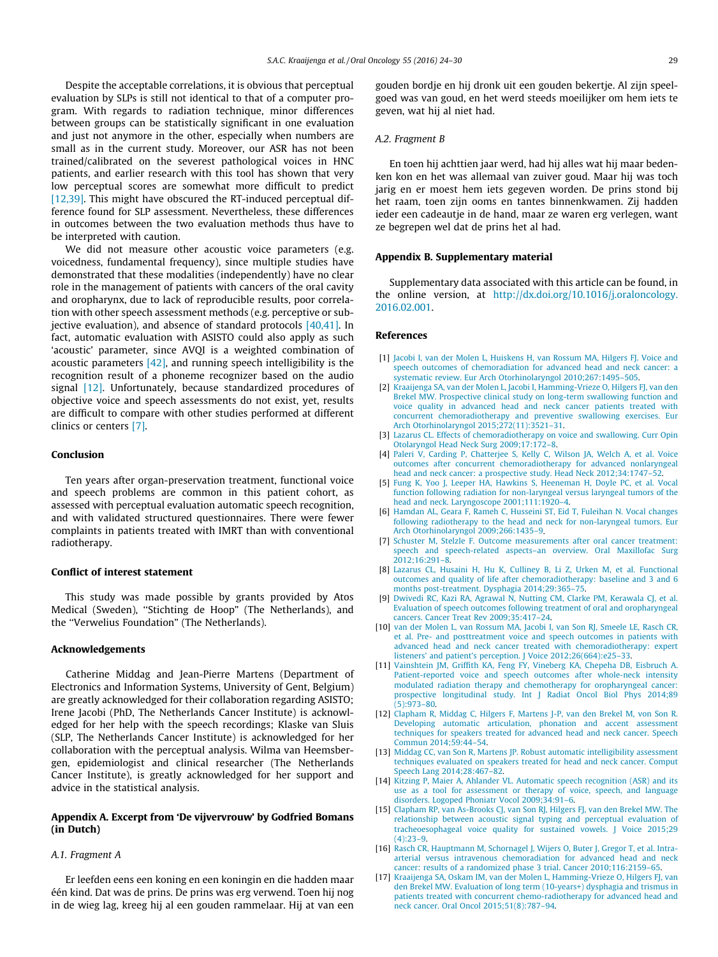<span id="page-6-0"></span>Despite the acceptable correlations, it is obvious that perceptual evaluation by SLPs is still not identical to that of a computer program. With regards to radiation technique, minor differences between groups can be statistically significant in one evaluation and just not anymore in the other, especially when numbers are small as in the current study. Moreover, our ASR has not been trained/calibrated on the severest pathological voices in HNC patients, and earlier research with this tool has shown that very low perceptual scores are somewhat more difficult to predict [12,39]. This might have obscured the RT-induced perceptual difference found for SLP assessment. Nevertheless, these differences in outcomes between the two evaluation methods thus have to be interpreted with caution.

We did not measure other acoustic voice parameters (e.g. voicedness, fundamental frequency), since multiple studies have demonstrated that these modalities (independently) have no clear role in the management of patients with cancers of the oral cavity and oropharynx, due to lack of reproducible results, poor correlation with other speech assessment methods (e.g. perceptive or sub-jective evaluation), and absence of standard protocols [\[40,41\].](#page-7-0) In fact, automatic evaluation with ASISTO could also apply as such 'acoustic' parameter, since AVQI is a weighted combination of acoustic parameters  $[42]$ , and running speech intelligibility is the recognition result of a phoneme recognizer based on the audio signal  $[12]$ . Unfortunately, because standardized procedures of objective voice and speech assessments do not exist, yet, results are difficult to compare with other studies performed at different clinics or centers [7].

#### Conclusion

Ten years after organ-preservation treatment, functional voice and speech problems are common in this patient cohort, as assessed with perceptual evaluation automatic speech recognition, and with validated structured questionnaires. There were fewer complaints in patients treated with IMRT than with conventional radiotherapy.

# Conflict of interest statement

This study was made possible by grants provided by Atos Medical (Sweden), ''Stichting de Hoop" (The Netherlands), and the ''Verwelius Foundation" (The Netherlands).

#### Acknowledgements

Catherine Middag and Jean-Pierre Martens (Department of Electronics and Information Systems, University of Gent, Belgium) are greatly acknowledged for their collaboration regarding ASISTO; Irene Jacobi (PhD, The Netherlands Cancer Institute) is acknowledged for her help with the speech recordings; Klaske van Sluis (SLP, The Netherlands Cancer Institute) is acknowledged for her collaboration with the perceptual analysis. Wilma van Heemsbergen, epidemiologist and clinical researcher (The Netherlands Cancer Institute), is greatly acknowledged for her support and advice in the statistical analysis.

### Appendix A. Excerpt from 'De vijvervrouw' by Godfried Bomans (in Dutch)

### A.1. Fragment A

Er leefden eens een koning en een koningin en die hadden maar één kind. Dat was de prins. De prins was erg verwend. Toen hij nog in de wieg lag, kreeg hij al een gouden rammelaar. Hij at van een

gouden bordje en hij dronk uit een gouden bekertje. Al zijn speelgoed was van goud, en het werd steeds moeilijker om hem iets te geven, wat hij al niet had.

#### A.2. Fragment B

En toen hij achttien jaar werd, had hij alles wat hij maar bedenken kon en het was allemaal van zuiver goud. Maar hij was toch jarig en er moest hem iets gegeven worden. De prins stond bij het raam, toen zijn ooms en tantes binnenkwamen. Zij hadden ieder een cadeautje in de hand, maar ze waren erg verlegen, want ze begrepen wel dat de prins het al had.

#### Appendix B. Supplementary material

Supplementary data associated with this article can be found, in the online version, at [http://dx.doi.org/10.1016/j.oraloncology.](http://dx.doi.org/10.1016/j.oraloncology.2016.02.001) [2016.02.001.](http://dx.doi.org/10.1016/j.oraloncology.2016.02.001)

#### References

- [1] Jacobi I, van der Molen L, Huiskens H, van Rossum MA, Hilgers FI. Voice and [speech outcomes of chemoradiation for advanced head and neck cancer: a](http://refhub.elsevier.com/S1368-8375(16)00019-1/h0005) [systematic review. Eur Arch Otorhinolaryngol 2010;267:1495–505.](http://refhub.elsevier.com/S1368-8375(16)00019-1/h0005)
- [2] [Kraaijenga SA, van der Molen L, Jacobi I, Hamming-Vrieze O, Hilgers FJ, van den](http://refhub.elsevier.com/S1368-8375(16)00019-1/h0010) [Brekel MW. Prospective clinical study on long-term swallowing function and](http://refhub.elsevier.com/S1368-8375(16)00019-1/h0010) [voice quality in advanced head and neck cancer patients treated with](http://refhub.elsevier.com/S1368-8375(16)00019-1/h0010) [concurrent chemoradiotherapy and preventive swallowing exercises. Eur](http://refhub.elsevier.com/S1368-8375(16)00019-1/h0010) [Arch Otorhinolaryngol 2015;272\(11\):3521–31](http://refhub.elsevier.com/S1368-8375(16)00019-1/h0010).
- [3] [Lazarus CL. Effects of chemoradiotherapy on voice and swallowing. Curr Opin](http://refhub.elsevier.com/S1368-8375(16)00019-1/h0015) [Otolaryngol Head Neck Surg 2009;17:172–8](http://refhub.elsevier.com/S1368-8375(16)00019-1/h0015).
- [4] [Paleri V, Carding P, Chatterjee S, Kelly C, Wilson JA, Welch A, et al. Voice](http://refhub.elsevier.com/S1368-8375(16)00019-1/h0020) [outcomes after concurrent chemoradiotherapy for advanced nonlaryngeal](http://refhub.elsevier.com/S1368-8375(16)00019-1/h0020) [head and neck cancer: a prospective study. Head Neck 2012;34:1747–52](http://refhub.elsevier.com/S1368-8375(16)00019-1/h0020).
- [5] [Fung K, Yoo J, Leeper HA, Hawkins S, Heeneman H, Doyle PC, et al. Vocal](http://refhub.elsevier.com/S1368-8375(16)00019-1/h0025) [function following radiation for non-laryngeal versus laryngeal tumors of the](http://refhub.elsevier.com/S1368-8375(16)00019-1/h0025) [head and neck. Laryngoscope 2001;111:1920–4.](http://refhub.elsevier.com/S1368-8375(16)00019-1/h0025)
- [6] [Hamdan AL, Geara F, Rameh C, Husseini ST, Eid T, Fuleihan N. Vocal changes](http://refhub.elsevier.com/S1368-8375(16)00019-1/h0030) [following radiotherapy to the head and neck for non-laryngeal tumors. Eur](http://refhub.elsevier.com/S1368-8375(16)00019-1/h0030) [Arch Otorhinolaryngol 2009;266:1435–9.](http://refhub.elsevier.com/S1368-8375(16)00019-1/h0030)
- [7] [Schuster M, Stelzle F. Outcome measurements after oral cancer treatment:](http://refhub.elsevier.com/S1368-8375(16)00019-1/h0035) [speech and speech-related aspects–an overview. Oral Maxillofac Surg](http://refhub.elsevier.com/S1368-8375(16)00019-1/h0035) [2012;16:291–8](http://refhub.elsevier.com/S1368-8375(16)00019-1/h0035).
- [8] [Lazarus CL, Husaini H, Hu K, Culliney B, Li Z, Urken M, et al. Functional](http://refhub.elsevier.com/S1368-8375(16)00019-1/h0040) [outcomes and quality of life after chemoradiotherapy: baseline and 3 and 6](http://refhub.elsevier.com/S1368-8375(16)00019-1/h0040) [months post-treatment. Dysphagia 2014;29:365–75](http://refhub.elsevier.com/S1368-8375(16)00019-1/h0040).
- [9] [Dwivedi RC, Kazi RA, Agrawal N, Nutting CM, Clarke PM, Kerawala CJ, et al.](http://refhub.elsevier.com/S1368-8375(16)00019-1/h0045) [Evaluation of speech outcomes following treatment of oral and oropharyngeal](http://refhub.elsevier.com/S1368-8375(16)00019-1/h0045) [cancers. Cancer Treat Rev 2009;35:417–24.](http://refhub.elsevier.com/S1368-8375(16)00019-1/h0045)
- [10] [van der Molen L, van Rossum MA, Jacobi I, van Son RJ, Smeele LE, Rasch CR,](http://refhub.elsevier.com/S1368-8375(16)00019-1/h0050) [et al. Pre- and posttreatment voice and speech outcomes in patients with](http://refhub.elsevier.com/S1368-8375(16)00019-1/h0050) [advanced head and neck cancer treated with chemoradiotherapy: expert](http://refhub.elsevier.com/S1368-8375(16)00019-1/h0050) [listeners' and patient's perception. J Voice 2012;26\(664\):e25–33](http://refhub.elsevier.com/S1368-8375(16)00019-1/h0050).
- [11] [Vainshtein JM, Griffith KA, Feng FY, Vineberg KA, Chepeha DB, Eisbruch A.](http://refhub.elsevier.com/S1368-8375(16)00019-1/h0055) [Patient-reported voice and speech outcomes after whole-neck intensity](http://refhub.elsevier.com/S1368-8375(16)00019-1/h0055) [modulated radiation therapy and chemotherapy for oropharyngeal cancer:](http://refhub.elsevier.com/S1368-8375(16)00019-1/h0055) [prospective longitudinal study. Int J Radiat Oncol Biol Phys 2014;89](http://refhub.elsevier.com/S1368-8375(16)00019-1/h0055)  $(5):973-80.$
- [12] [Clapham R, Middag C, Hilgers F, Martens J-P, van den Brekel M, von Son R.](http://refhub.elsevier.com/S1368-8375(16)00019-1/h0060) [Developing automatic articulation, phonation and accent assessment](http://refhub.elsevier.com/S1368-8375(16)00019-1/h0060) [techniques for speakers treated for advanced head and neck cancer. Speech](http://refhub.elsevier.com/S1368-8375(16)00019-1/h0060) [Commun 2014;59:44–54](http://refhub.elsevier.com/S1368-8375(16)00019-1/h0060).
- [13] [Middag CC, van Son R, Martens JP. Robust automatic intelligibility assessment](http://refhub.elsevier.com/S1368-8375(16)00019-1/h0065) [techniques evaluated on speakers treated for head and neck cancer. Comput](http://refhub.elsevier.com/S1368-8375(16)00019-1/h0065) [Speech Lang 2014;28:467–82](http://refhub.elsevier.com/S1368-8375(16)00019-1/h0065).
- [14] [Kitzing P, Maier A, Ahlander VL. Automatic speech recognition \(ASR\) and its](http://refhub.elsevier.com/S1368-8375(16)00019-1/h0070) [use as a tool for assessment or therapy of voice, speech, and language](http://refhub.elsevier.com/S1368-8375(16)00019-1/h0070) [disorders. Logoped Phoniatr Vocol 2009;34:91–6.](http://refhub.elsevier.com/S1368-8375(16)00019-1/h0070)
- [15] [Clapham RP, van As-Brooks CJ, van Son RJ, Hilgers FJ, van den Brekel MW. The](http://refhub.elsevier.com/S1368-8375(16)00019-1/h0075) [relationship between acoustic signal typing and perceptual evaluation of](http://refhub.elsevier.com/S1368-8375(16)00019-1/h0075) [tracheoesophageal voice quality for sustained vowels. J Voice 2015;29](http://refhub.elsevier.com/S1368-8375(16)00019-1/h0075)  $(4):23-9.$
- [16] [Rasch CR, Hauptmann M, Schornagel J, Wijers O, Buter J, Gregor T, et al. Intra](http://refhub.elsevier.com/S1368-8375(16)00019-1/h0080)[arterial versus intravenous chemoradiation for advanced head and neck](http://refhub.elsevier.com/S1368-8375(16)00019-1/h0080) [cancer: results of a randomized phase 3 trial. Cancer 2010;116:2159–65.](http://refhub.elsevier.com/S1368-8375(16)00019-1/h0080)
- [17] [Kraaijenga SA, Oskam IM, van der Molen L, Hamming-Vrieze O, Hilgers FJ, van](http://refhub.elsevier.com/S1368-8375(16)00019-1/h0085) [den Brekel MW. Evaluation of long term \(10-years+\) dysphagia and trismus in](http://refhub.elsevier.com/S1368-8375(16)00019-1/h0085) [patients treated with concurrent chemo-radiotherapy for advanced head and](http://refhub.elsevier.com/S1368-8375(16)00019-1/h0085) [neck cancer. Oral Oncol 2015;51\(8\):787–94](http://refhub.elsevier.com/S1368-8375(16)00019-1/h0085).